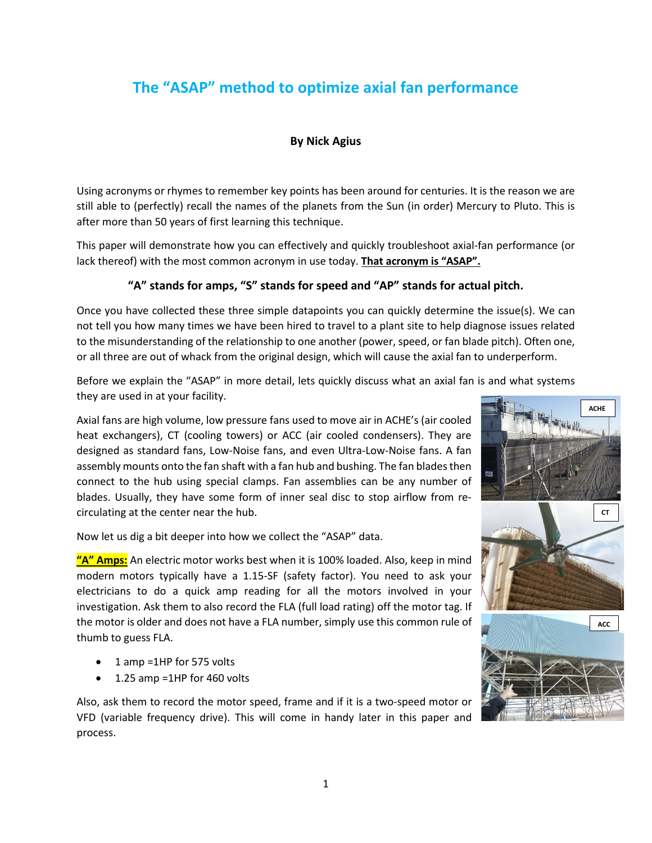# **The "ASAP" method to optimize axial fan performance**

# **By Nick Agius**

Using acronyms or rhymes to remember key points has been around for centuries. It is the reason we are still able to (perfectly) recall the names of the planets from the Sun (in order) Mercury to Pluto. This is after more than 50 years of first learning this technique.

This paper will demonstrate how you can effectively and quickly troubleshoot axial-fan performance (or lack thereof) with the most common acronym in use today. **That acronym is "ASAP".**

## **"A" stands for amps, "S" stands for speed and "AP" stands for actual pitch.**

Once you have collected these three simple datapoints you can quickly determine the issue(s). We can not tell you how many times we have been hired to travel to a plant site to help diagnose issues related to the misunderstanding of the relationship to one another (power, speed, or fan blade pitch). Often one, or all three are out of whack from the original design, which will cause the axial fan to underperform.

Before we explain the "ASAP" in more detail, lets quickly discuss what an axial fan is and what systems they are used in at your facility.

Axial fans are high volume, low pressure fans used to move air in ACHE's (air cooled heat exchangers), CT (cooling towers) or ACC (air cooled condensers). They are designed as standard fans, Low-Noise fans, and even Ultra-Low-Noise fans. A fan assembly mounts onto the fan shaft with a fan hub and bushing. The fan blades then connect to the hub using special clamps. Fan assemblies can be any number of blades. Usually, they have some form of inner seal disc to stop airflow from recirculating at the center near the hub.

Now let us dig a bit deeper into how we collect the "ASAP" data.

**"A" Amps:** An electric motor works best when it is 100% loaded. Also, keep in mind modern motors typically have a 1.15-SF (safety factor). You need to ask your electricians to do a quick amp reading for all the motors involved in your investigation. Ask them to also record the FLA (full load rating) off the motor tag. If the motor is older and does not have a FLA number, simply use this common rule of thumb to guess FLA.

- 1 amp =1HP for 575 volts
- 1.25 amp =1HP for 460 volts

Also, ask them to record the motor speed, frame and if it is a two-speed motor or VFD (variable frequency drive). This will come in handy later in this paper and process.



**ACHE**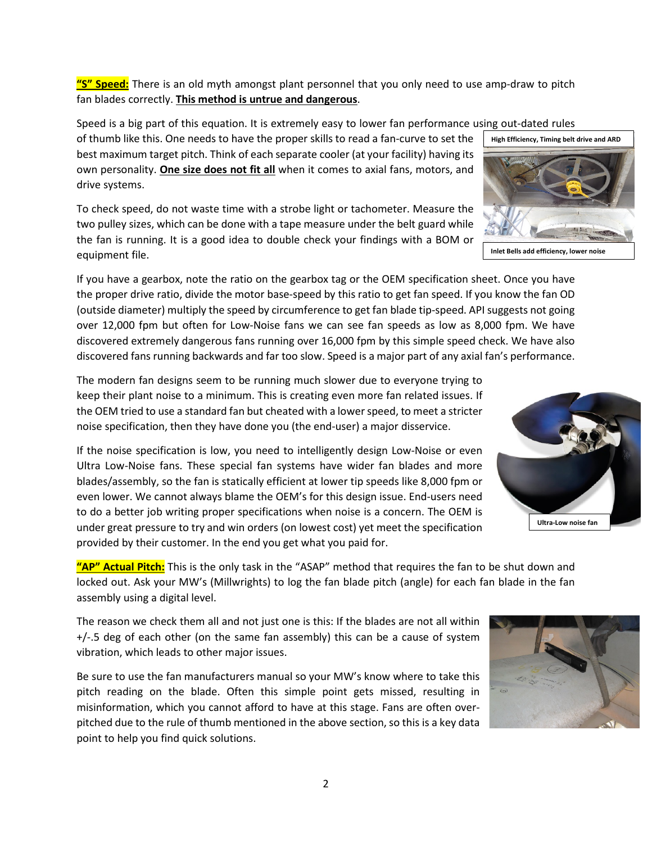2

**"S" Speed:** There is an old myth amongst plant personnel that you only need to use amp-draw to pitch fan blades correctly. **This method is untrue and dangerous**.

Speed is a big part of this equation. It is extremely easy to lower fan performance using out-dated rules

of thumb like this. One needs to have the proper skills to read a fan-curve to set the best maximum target pitch. Think of each separate cooler (at your facility) having its own personality. **One size does not fit all** when it comes to axial fans, motors, and drive systems.

To check speed, do not waste time with a strobe light or tachometer. Measure the two pulley sizes, which can be done with a tape measure under the belt guard while the fan is running. It is a good idea to double check your findings with a BOM or equipment file.

If you have a gearbox, note the ratio on the gearbox tag or the OEM specification sheet. Once you have the proper drive ratio, divide the motor base-speed by this ratio to get fan speed. If you know the fan OD (outside diameter) multiply the speed by circumference to get fan blade tip-speed. API suggests not going over 12,000 fpm but often for Low-Noise fans we can see fan speeds as low as 8,000 fpm. We have discovered extremely dangerous fans running over 16,000 fpm by this simple speed check. We have also discovered fans running backwards and far too slow. Speed is a major part of any axial fan's performance.

The modern fan designs seem to be running much slower due to everyone trying to keep their plant noise to a minimum. This is creating even more fan related issues. If the OEM tried to use a standard fan but cheated with a lower speed, to meet a stricter noise specification, then they have done you (the end-user) a major disservice.

If the noise specification is low, you need to intelligently design Low-Noise or even Ultra Low-Noise fans. These special fan systems have wider fan blades and more blades/assembly, so the fan is statically efficient at lower tip speeds like 8,000 fpm or even lower. We cannot always blame the OEM's for this design issue. End-users need to do a better job writing proper specifications when noise is a concern. The OEM is under great pressure to try and win orders (on lowest cost) yet meet the specification provided by their customer. In the end you get what you paid for.

**"AP" Actual Pitch:** This is the only task in the "ASAP" method that requires the fan to be shut down and locked out. Ask your MW's (Millwrights) to log the fan blade pitch (angle) for each fan blade in the fan assembly using a digital level.

The reason we check them all and not just one is this: If the blades are not all within +/-.5 deg of each other (on the same fan assembly) this can be a cause of system vibration, which leads to other major issues.

Be sure to use the fan manufacturers manual so your MW's know where to take this pitch reading on the blade. Often this simple point gets missed, resulting in misinformation, which you cannot afford to have at this stage. Fans are often overpitched due to the rule of thumb mentioned in the above section, so this is a key data point to help you find quick solutions.







**Inlet Bells add efficiency, lower noise**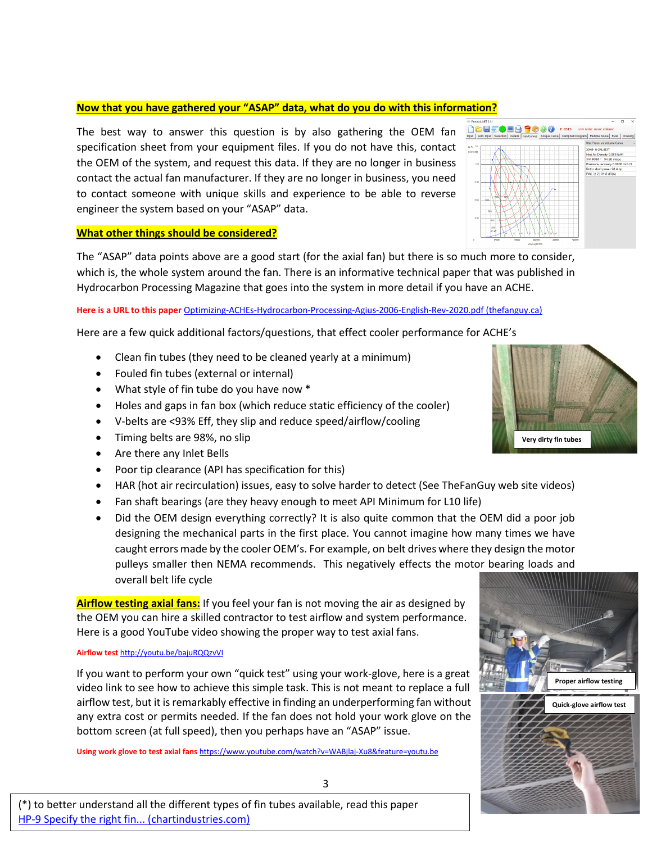### **Now that you have gathered your "ASAP" data, what do you do with this information?**

The best way to answer this question is by also gathering the OEM fan specification sheet from your equipment files. If you do not have this, contact the OEM of the system, and request this data. If they are no longer in business contact the actual fan manufacturer. If they are no longer in business, you need to contact someone with unique skills and experience to be able to reverse engineer the system based on your "ASAP" data.



### **What other things should be considered?**

The "ASAP" data points above are a good start (for the axial fan) but there is so much more to consider, which is, the whole system around the fan. There is an informative technical paper that was published in Hydrocarbon Processing Magazine that goes into the system in more detail if you have an ACHE.

### **Here is a URL to this paper** [Optimizing-ACHEs-Hydrocarbon-Processing-Agius-2006-English-Rev-2020.pdf \(thefanguy.ca\)](https://thefanguy.ca/wp-content/uploads/2020/10/Optimizing-ACHEs-Hydrocarbon-Processing-Agius-2006-English-Rev-2020.pdf)

Here are a few quick additional factors/questions, that effect cooler performance for ACHE's

- Clean fin tubes (they need to be cleaned yearly at a minimum)
- Fouled fin tubes (external or internal)
- What style of fin tube do you have now \*
- Holes and gaps in fan box (which reduce static efficiency of the cooler)
- V-belts are <93% Eff, they slip and reduce speed/airflow/cooling
- Timing belts are 98%, no slip
- Are there any Inlet Bells
- Poor tip clearance (API has specification for this)
- HAR (hot air recirculation) issues, easy to solve harder to detect (See TheFanGuy web site videos)
- Fan shaft bearings (are they heavy enough to meet API Minimum for L10 life)
- Did the OEM design everything correctly? It is also quite common that the OEM did a poor job designing the mechanical parts in the first place. You cannot imagine how many times we have caught errors made by the cooler OEM's. For example, on belt drives where they design the motor pulleys smaller then NEMA recommends. This negatively effects the motor bearing loads and overall belt life cycle

**Airflow testing axial fans:** If you feel your fan is not moving the air as designed by the OEM you can hire a skilled contractor to test airflow and system performance. Here is a good YouTube video showing the proper way to test axial fans.

#### **Airflow test** <http://youtu.be/bajuRQQzvVI>

If you want to perform your own "quick test" using your work-glove, here is a great video link to see how to achieve this simple task. This is not meant to replace a full airflow test, but it is remarkably effective in finding an underperforming fan without any extra cost or permits needed. If the fan does not hold your work glove on the bottom screen (at full speed), then you perhaps have an "ASAP" issue.

**Using work glove to test axial fans** <https://www.youtube.com/watch?v=WABjlaj-Xu8&feature=youtu.be>





3

(\*) to better understand all the different types of fin tubes available, read this paper [HP-9 Specify the right fin... \(chartindustries.com\)](http://files.chartindustries.com/hudson/Specify-Fin-Type.pdf)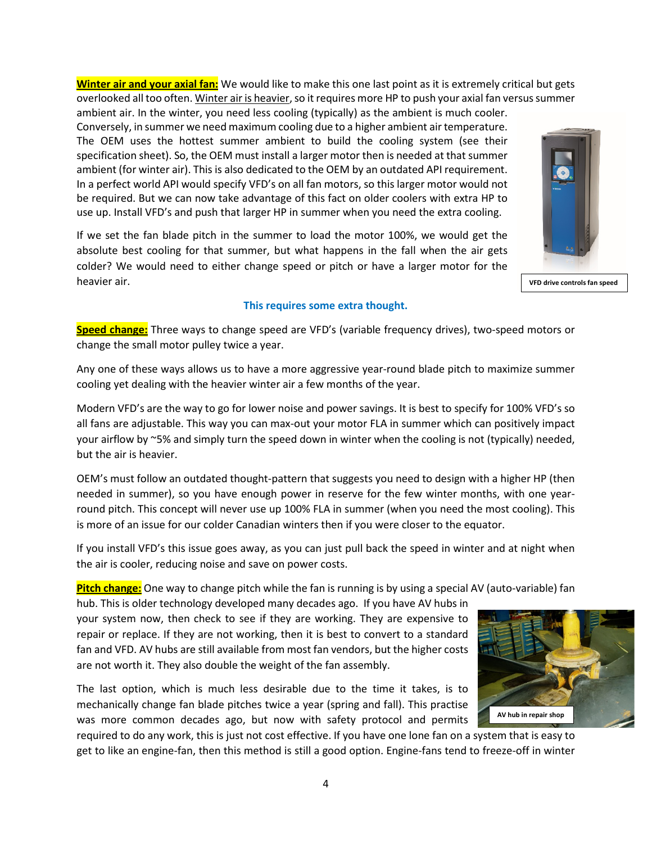4

**Winter air and your axial fan:** We would like to make this one last point as it is extremely critical but gets overlooked all too often. Winter air is heavier, so it requires more HP to push your axial fan versus summer ambient air. In the winter, you need less cooling (typically) as the ambient is much cooler. Conversely, in summer we need maximum cooling due to a higher ambient air temperature.

The OEM uses the hottest summer ambient to build the cooling system (see their specification sheet). So, the OEM must install a larger motor then is needed at that summer ambient (for winter air). This is also dedicated to the OEM by an outdated API requirement. In a perfect world API would specify VFD's on all fan motors, so this larger motor would not be required. But we can now take advantage of this fact on older coolers with extra HP to use up. Install VFD's and push that larger HP in summer when you need the extra cooling.

If we set the fan blade pitch in the summer to load the motor 100%, we would get the absolute best cooling for that summer, but what happens in the fall when the air gets colder? We would need to either change speed or pitch or have a larger motor for the heavier air.

## **This requires some extra thought.**

**Speed change:** Three ways to change speed are VFD's (variable frequency drives), two-speed motors or change the small motor pulley twice a year.

Any one of these ways allows us to have a more aggressive year-round blade pitch to maximize summer cooling yet dealing with the heavier winter air a few months of the year.

Modern VFD's are the way to go for lower noise and power savings. It is best to specify for 100% VFD's so all fans are adjustable. This way you can max-out your motor FLA in summer which can positively impact your airflow by ~5% and simply turn the speed down in winter when the cooling is not (typically) needed, but the air is heavier.

OEM's must follow an outdated thought-pattern that suggests you need to design with a higher HP (then needed in summer), so you have enough power in reserve for the few winter months, with one yearround pitch. This concept will never use up 100% FLA in summer (when you need the most cooling). This is more of an issue for our colder Canadian winters then if you were closer to the equator.

If you install VFD's this issue goes away, as you can just pull back the speed in winter and at night when the air is cooler, reducing noise and save on power costs.

**Pitch change:** One way to change pitch while the fan is running is by using a special AV (auto-variable) fan

hub. This is older technology developed many decades ago. If you have AV hubs in your system now, then check to see if they are working. They are expensive to repair or replace. If they are not working, then it is best to convert to a standard fan and VFD. AV hubs are still available from most fan vendors, but the higher costs are not worth it. They also double the weight of the fan assembly.

The last option, which is much less desirable due to the time it takes, is to mechanically change fan blade pitches twice a year (spring and fall). This practise was more common decades ago, but now with safety protocol and permits

required to do any work, this is just not cost effective. If you have one lone fan on a system that is easy to get to like an engine-fan, then this method is still a good option. Engine-fans tend to freeze-off in winter





**VFD drive controls fan speed**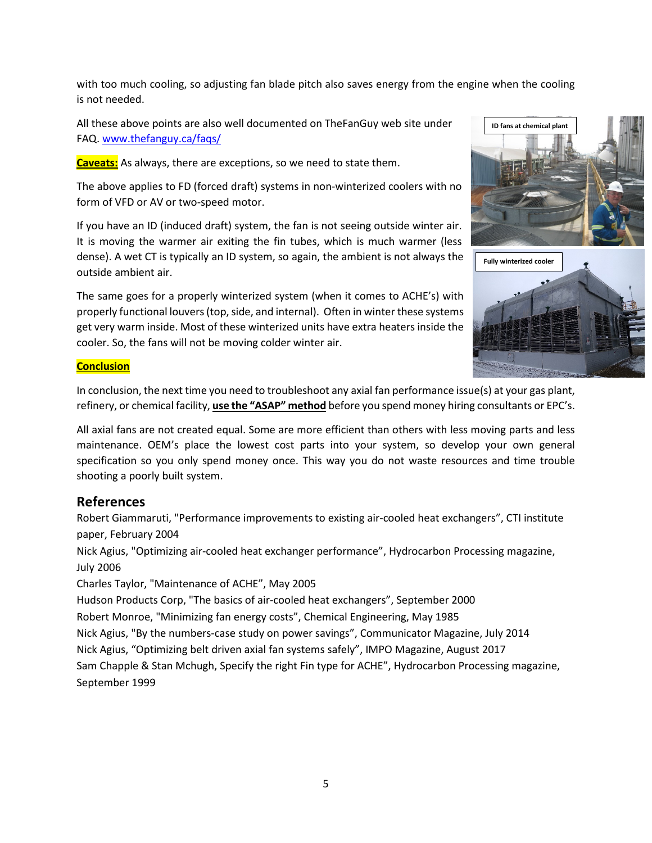with too much cooling, so adjusting fan blade pitch also saves energy from the engine when the cooling is not needed.

All these above points are also well documented on TheFanGuy web site under FAQ. [www.thefanguy.ca/faqs/](http://www.thefanguy.ca/faqs/)

**Caveats:** As always, there are exceptions, so we need to state them.

The above applies to FD (forced draft) systems in non-winterized coolers with no form of VFD or AV or two-speed motor.

If you have an ID (induced draft) system, the fan is not seeing outside winter air. It is moving the warmer air exiting the fin tubes, which is much warmer (less dense). A wet CT is typically an ID system, so again, the ambient is not always the outside ambient air.

The same goes for a properly winterized system (when it comes to ACHE's) with properly functional louvers (top, side, and internal). Often in winter these systems get very warm inside. Most of these winterized units have extra heaters inside the cooler. So, the fans will not be moving colder winter air.





### **Conclusion**

In conclusion, the next time you need to troubleshoot any axial fan performance issue(s) at your gas plant, refinery, or chemical facility, **use the "ASAP" method** before you spend money hiring consultants or EPC's.

All axial fans are not created equal. Some are more efficient than others with less moving parts and less maintenance. OEM's place the lowest cost parts into your system, so develop your own general specification so you only spend money once. This way you do not waste resources and time trouble shooting a poorly built system.

# **References**

Robert Giammaruti, "Performance improvements to existing air-cooled heat exchangers", CTI institute paper, February 2004

Nick Agius, "Optimizing air-cooled heat exchanger performance", Hydrocarbon Processing magazine, July 2006

Charles Taylor, "Maintenance of ACHE", May 2005

Hudson Products Corp, "The basics of air-cooled heat exchangers", September 2000

Robert Monroe, "Minimizing fan energy costs", Chemical Engineering, May 1985

Nick Agius, "By the numbers-case study on power savings", Communicator Magazine, July 2014

Nick Agius, "Optimizing belt driven axial fan systems safely", IMPO Magazine, August 2017

Sam Chapple & Stan Mchugh, Specify the right Fin type for ACHE", Hydrocarbon Processing magazine, September 1999